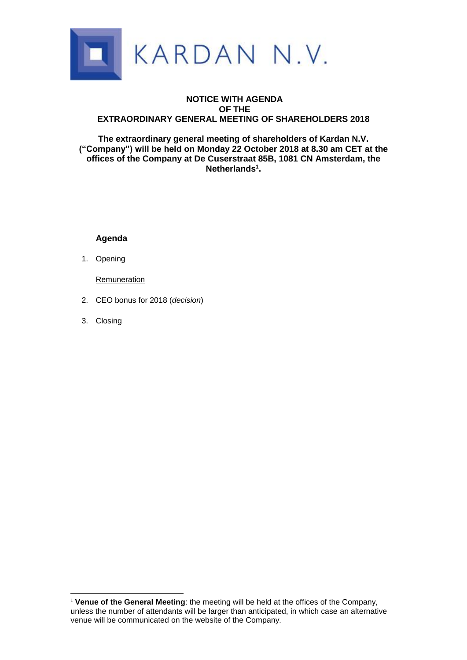

# **NOTICE WITH AGENDA OF THE EXTRAORDINARY GENERAL MEETING OF SHAREHOLDERS 2018**

**The extraordinary general meeting of shareholders of Kardan N.V. ("Company") will be held on Monday 22 October 2018 at 8.30 am CET at the offices of the Company at De Cuserstraat 85B, 1081 CN Amsterdam, the Netherlands<sup>1</sup> .**

# **Agenda**

1. Opening

Remuneration

- 2. CEO bonus for 2018 (*decision*)
- 3. Closing

<u>.</u>

<sup>&</sup>lt;sup>1</sup> Venue of the General Meeting: the meeting will be held at the offices of the Company, unless the number of attendants will be larger than anticipated, in which case an alternative venue will be communicated on the website of the Company.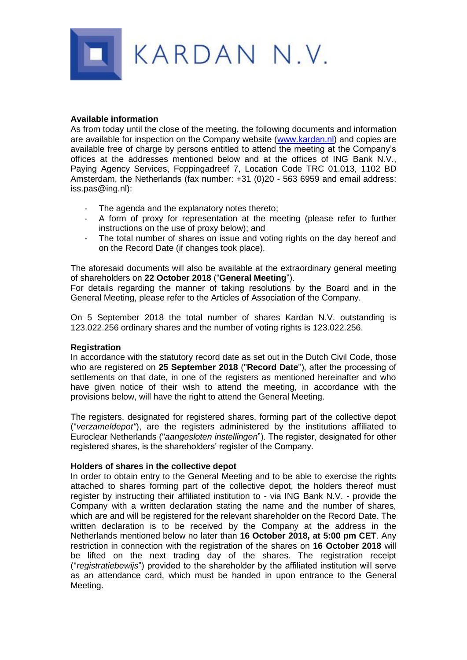

## **Available information**

As from today until the close of the meeting, the following documents and information are available for inspection on the Company website [\(www.kardan.nl\)](http://www.kardan.nl/) and copies are available free of charge by persons entitled to attend the meeting at the Company's offices at the addresses mentioned below and at the offices of ING Bank N.V., Paying Agency Services, Foppingadreef 7, Location Code TRC 01.013, 1102 BD Amsterdam, the Netherlands (fax number: +31 (0)20 - 563 6959 and email address: iss.pas@ing.nl):

- The agenda and the explanatory notes thereto;
- A form of proxy for representation at the meeting (please refer to further instructions on the use of proxy below); and
- The total number of shares on issue and voting rights on the day hereof and on the Record Date (if changes took place).

The aforesaid documents will also be available at the extraordinary general meeting of shareholders on **22 October 2018** ("**General Meeting**").

For details regarding the manner of taking resolutions by the Board and in the General Meeting, please refer to the Articles of Association of the Company.

On 5 September 2018 the total number of shares Kardan N.V. outstanding is 123.022.256 ordinary shares and the number of voting rights is 123.022.256.

### **Registration**

In accordance with the statutory record date as set out in the Dutch Civil Code, those who are registered on **25 September 2018** ("**Record Date**"), after the processing of settlements on that date, in one of the registers as mentioned hereinafter and who have given notice of their wish to attend the meeting, in accordance with the provisions below, will have the right to attend the General Meeting.

The registers, designated for registered shares, forming part of the collective depot ("*verzameldepot"*), are the registers administered by the institutions affiliated to Euroclear Netherlands ("*aangesloten instellingen*"). The register, designated for other registered shares, is the shareholders' register of the Company.

### **Holders of shares in the collective depot**

In order to obtain entry to the General Meeting and to be able to exercise the rights attached to shares forming part of the collective depot, the holders thereof must register by instructing their affiliated institution to - via ING Bank N.V. - provide the Company with a written declaration stating the name and the number of shares, which are and will be registered for the relevant shareholder on the Record Date. The written declaration is to be received by the Company at the address in the Netherlands mentioned below no later than **16 October 2018, at 5:00 pm CET**. Any restriction in connection with the registration of the shares on **16 October 2018** will be lifted on the next trading day of the shares. The registration receipt ("*registratiebewijs*") provided to the shareholder by the affiliated institution will serve as an attendance card, which must be handed in upon entrance to the General Meeting.